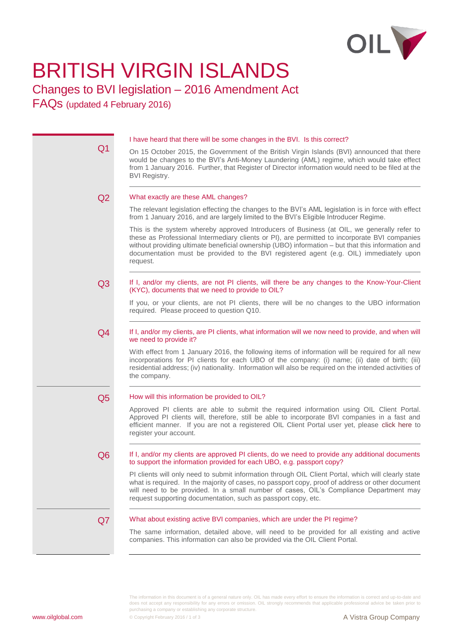

# BRITISH VIRGIN ISLANDS

## Changes to BVI legislation – 2016 Amendment Act

FAQs (updated 4 February 2016)

|                | I have heard that there will be some changes in the BVI. Is this correct?                                                                                                                                                                                                                                                                                                                              |
|----------------|--------------------------------------------------------------------------------------------------------------------------------------------------------------------------------------------------------------------------------------------------------------------------------------------------------------------------------------------------------------------------------------------------------|
| Q <sub>1</sub> | On 15 October 2015, the Government of the British Virgin Islands (BVI) announced that there<br>would be changes to the BVI's Anti-Money Laundering (AML) regime, which would take effect<br>from 1 January 2016. Further, that Register of Director information would need to be filed at the<br><b>BVI Registry.</b>                                                                                  |
| Q2             | What exactly are these AML changes?                                                                                                                                                                                                                                                                                                                                                                    |
|                | The relevant legislation effecting the changes to the BVI's AML legislation is in force with effect<br>from 1 January 2016, and are largely limited to the BVI's Eligible Introducer Regime.                                                                                                                                                                                                           |
|                | This is the system whereby approved Introducers of Business (at OIL, we generally refer to<br>these as Professional Intermediary clients or PI), are permitted to incorporate BVI companies<br>without providing ultimate beneficial ownership (UBO) information - but that this information and<br>documentation must be provided to the BVI registered agent (e.g. OIL) immediately upon<br>request. |
| Q <sub>3</sub> | If I, and/or my clients, are not PI clients, will there be any changes to the Know-Your-Client<br>(KYC), documents that we need to provide to OIL?                                                                                                                                                                                                                                                     |
|                | If you, or your clients, are not PI clients, there will be no changes to the UBO information<br>required. Please proceed to question Q10.                                                                                                                                                                                                                                                              |
| Q4             | If I, and/or my clients, are PI clients, what information will we now need to provide, and when will<br>we need to provide it?                                                                                                                                                                                                                                                                         |
|                | With effect from 1 January 2016, the following items of information will be required for all new<br>incorporations for PI clients for each UBO of the company: (i) name; (ii) date of birth; (iii)<br>residential address; (iv) nationality. Information will also be required on the intended activities of<br>the company.                                                                           |
| Q <sub>5</sub> | How will this information be provided to OIL?                                                                                                                                                                                                                                                                                                                                                          |
|                | Approved PI clients are able to submit the required information using OIL Client Portal.<br>Approved PI clients will, therefore, still be able to incorporate BVI companies in a fast and<br>efficient manner. If you are not a registered OIL Client Portal user yet, please click here to<br>register your account.                                                                                  |
| Q <sub>6</sub> | If I, and/or my clients are approved PI clients, do we need to provide any additional documents<br>to support the information provided for each UBO, e.g. passport copy?                                                                                                                                                                                                                               |
|                | PI clients will only need to submit information through OIL Client Portal, which will clearly state<br>what is required. In the majority of cases, no passport copy, proof of address or other document<br>will need to be provided. In a small number of cases, OIL's Compliance Department may<br>request supporting documentation, such as passport copy, etc.                                      |
| Q7             | What about existing active BVI companies, which are under the PI regime?                                                                                                                                                                                                                                                                                                                               |
|                | The same information, detailed above, will need to be provided for all existing and active<br>companies. This information can also be provided via the OIL Client Portal.                                                                                                                                                                                                                              |

The information in this document is of a general nature only. OIL has made every effort to ensure the information is correct and up-to-date and does not accept any responsibility for any errors or omission. OIL strongly recommends that applicable professional advice be taken prior to purchasing a company or establishing any corporate structure.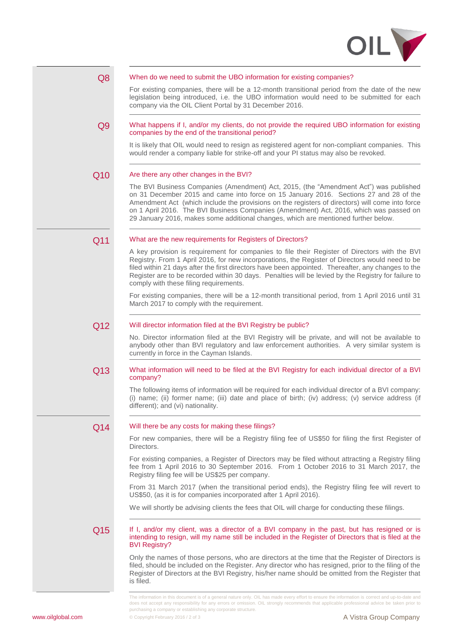



does not accept any responsibility for any errors or omission. OIL strongly recommends that applicable professional advice be taken prior to

purchasing a company or establishing any corporate structure.

**[www.oilglobal.com](http://www.oilglobal.com/) Copyright February 2016 / 2 of 3 Copyright February 2016 / 2 of 3 A Vistra Group Company**